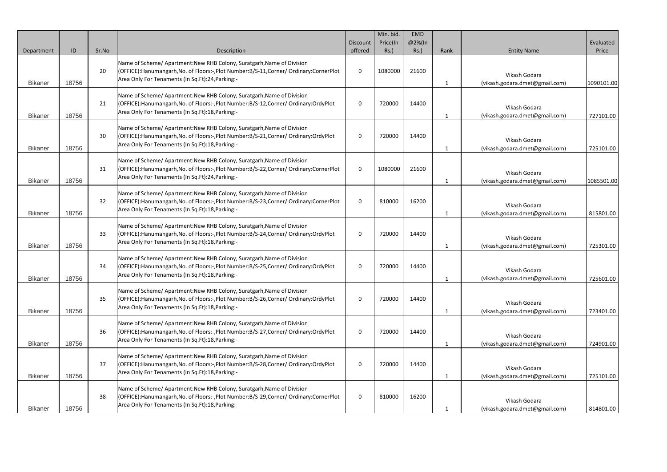| Department     | ID    | Sr.No | Description                                                                                                                                                                                                            | Discount<br>offered | Min. bid.<br>Price(In<br>$Rs.$ ) | <b>EMD</b><br>@2%(In<br>$Rs.$ ) | Rank | <b>Entity Name</b>                              | Evaluated<br>Price |
|----------------|-------|-------|------------------------------------------------------------------------------------------------------------------------------------------------------------------------------------------------------------------------|---------------------|----------------------------------|---------------------------------|------|-------------------------------------------------|--------------------|
| <b>Bikaner</b> | 18756 | 20    | Name of Scheme/ Apartment: New RHB Colony, Suratgarh, Name of Division<br>(OFFICE):Hanumangarh,No. of Floors:-,Plot Number:B/S-11,Corner/ Ordinary:CornerPlot<br>Area Only For Tenaments (In Sq.Ft):24, Parking:-      | $\mathbf 0$         | 1080000                          | 21600                           |      | Vikash Godara<br>(vikash.godara.dmet@gmail.com) | 1090101.00         |
| <b>Bikaner</b> | 18756 | 21    | Name of Scheme/ Apartment: New RHB Colony, Suratgarh, Name of Division<br>(OFFICE):Hanumangarh,No. of Floors:-,Plot Number:B/S-12,Corner/ Ordinary:OrdyPlot<br>Area Only For Tenaments (In Sq.Ft):18, Parking:-        | $\mathbf 0$         | 720000                           | 14400                           |      | Vikash Godara<br>(vikash.godara.dmet@gmail.com) | 727101.00          |
| <b>Bikaner</b> | 18756 | 30    | Name of Scheme/ Apartment: New RHB Colony, Suratgarh, Name of Division<br>(OFFICE):Hanumangarh, No. of Floors:-, Plot Number: B/S-21, Corner/ Ordinary: Ordy Plot<br>Area Only For Tenaments (In Sq.Ft):18, Parking:-  | $\mathbf 0$         | 720000                           | 14400                           |      | Vikash Godara<br>(vikash.godara.dmet@gmail.com) | 725101.00          |
| <b>Bikaner</b> | 18756 | 31    | Name of Scheme/ Apartment: New RHB Colony, Suratgarh, Name of Division<br>(OFFICE):Hanumangarh,No. of Floors:-,Plot Number:B/S-22,Corner/ Ordinary:CornerPlot<br>Area Only For Tenaments (In Sq.Ft):24, Parking:-      | $\mathbf 0$         | 1080000                          | 21600                           |      | Vikash Godara<br>(vikash.godara.dmet@gmail.com) | 1085501.00         |
| <b>Bikaner</b> | 18756 | 32    | Name of Scheme/ Apartment: New RHB Colony, Suratgarh, Name of Division<br>(OFFICE):Hanumangarh,No. of Floors:-,Plot Number:B/S-23,Corner/ Ordinary:CornerPlot<br>Area Only For Tenaments (In Sq.Ft):18, Parking:-      | $\mathbf 0$         | 810000                           | 16200                           |      | Vikash Godara<br>(vikash.godara.dmet@gmail.com) | 815801.00          |
| <b>Bikaner</b> | 18756 | 33    | Name of Scheme/ Apartment: New RHB Colony, Suratgarh, Name of Division<br>(OFFICE):Hanumangarh, No. of Floors:-, Plot Number: B/S-24, Corner/ Ordinary: Ordy Plot<br>Area Only For Tenaments (In Sq.Ft):18, Parking:-  | - 0                 | 720000                           | 14400                           | 1    | Vikash Godara<br>(vikash.godara.dmet@gmail.com) | 725301.00          |
| <b>Bikaner</b> | 18756 | 34    | Name of Scheme/ Apartment: New RHB Colony, Suratgarh, Name of Division<br>(OFFICE):Hanumangarh, No. of Floors:-, Plot Number: B/S-25, Corner/ Ordinary: Ordy Plot<br>Area Only For Tenaments (In Sq.Ft):18, Parking:-  | $\mathbf 0$         | 720000                           | 14400                           |      | Vikash Godara<br>(vikash.godara.dmet@gmail.com) | 725601.00          |
| <b>Bikaner</b> | 18756 | 35    | Name of Scheme/ Apartment: New RHB Colony, Suratgarh, Name of Division<br>(OFFICE): Hanumangarh, No. of Floors:-, Plot Number: B/S-26, Corner/ Ordinary: Ordy Plot<br>Area Only For Tenaments (In Sq.Ft):18, Parking:- | $\mathbf 0$         | 720000                           | 14400                           | -1   | Vikash Godara<br>(vikash.godara.dmet@gmail.com) | 723401.00          |
| <b>Bikaner</b> | 18756 | 36    | Name of Scheme/ Apartment: New RHB Colony, Suratgarh, Name of Division<br>(OFFICE):Hanumangarh,No. of Floors:-,Plot Number:B/S-27,Corner/ Ordinary:OrdyPlot<br>Area Only For Tenaments (In Sq.Ft):18, Parking:-        | $\mathbf 0$         | 720000                           | 14400                           | -1   | Vikash Godara<br>(vikash.godara.dmet@gmail.com) | 724901.00          |
| <b>Bikaner</b> | 18756 | 37    | Name of Scheme/ Apartment: New RHB Colony, Suratgarh, Name of Division<br>(OFFICE):Hanumangarh,No. of Floors:-,Plot Number:B/S-28,Corner/ Ordinary:OrdyPlot<br>Area Only For Tenaments (In Sq.Ft):18, Parking:-        | 0                   | 720000                           | 14400                           | -1   | Vikash Godara<br>(vikash.godara.dmet@gmail.com) | 725101.00          |
| <b>Bikaner</b> | 18756 | 38    | Name of Scheme/ Apartment: New RHB Colony, Suratgarh, Name of Division<br>(OFFICE):Hanumangarh,No. of Floors:-,Plot Number:B/S-29,Corner/ Ordinary:CornerPlot<br>Area Only For Tenaments (In Sq.Ft):18, Parking:-      | - 0                 | 810000                           | 16200                           |      | Vikash Godara<br>(vikash.godara.dmet@gmail.com) | 814801.00          |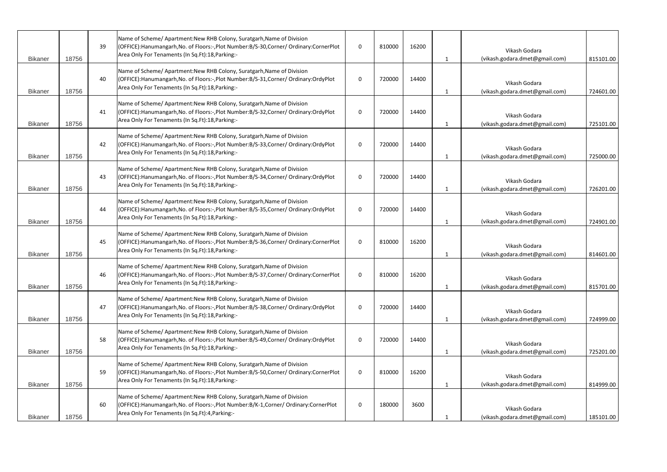| <b>Bikaner</b> | 18756 | 39 | Name of Scheme/ Apartment: New RHB Colony, Suratgarh, Name of Division<br>(OFFICE):Hanumangarh, No. of Floors:-, Plot Number: B/S-30, Corner/ Ordinary: Corner Plot<br>Area Only For Tenaments (In Sq.Ft):18, Parking:- | $\Omega$     | 810000 | 16200 | -1 | Vikash Godara<br>(vikash.godara.dmet@gmail.com) | 815101.00 |
|----------------|-------|----|-------------------------------------------------------------------------------------------------------------------------------------------------------------------------------------------------------------------------|--------------|--------|-------|----|-------------------------------------------------|-----------|
| <b>Bikaner</b> | 18756 | 40 | Name of Scheme/ Apartment: New RHB Colony, Suratgarh, Name of Division<br>(OFFICE):Hanumangarh,No. of Floors:-,Plot Number:B/S-31,Corner/ Ordinary:OrdyPlot<br>Area Only For Tenaments (In Sq.Ft):18, Parking:-         | $\mathbf{0}$ | 720000 | 14400 |    | Vikash Godara<br>(vikash.godara.dmet@gmail.com) | 724601.00 |
| <b>Bikaner</b> | 18756 | 41 | Name of Scheme/ Apartment: New RHB Colony, Suratgarh, Name of Division<br>(OFFICE): Hanumangarh, No. of Floors:-, Plot Number: B/S-32, Corner/ Ordinary: Ordy Plot<br>Area Only For Tenaments (In Sq.Ft):18, Parking:-  | $\mathbf 0$  | 720000 | 14400 |    | Vikash Godara<br>(vikash.godara.dmet@gmail.com) | 725101.00 |
| <b>Bikaner</b> | 18756 | 42 | Name of Scheme/ Apartment: New RHB Colony, Suratgarh, Name of Division<br>(OFFICE):Hanumangarh, No. of Floors:-, Plot Number: B/S-33, Corner/ Ordinary: Ordy Plot<br>Area Only For Tenaments (In Sq.Ft):18, Parking:-   | $\mathbf{0}$ | 720000 | 14400 |    | Vikash Godara<br>(vikash.godara.dmet@gmail.com) | 725000.00 |
| <b>Bikaner</b> | 18756 | 43 | Name of Scheme/ Apartment: New RHB Colony, Suratgarh, Name of Division<br>(OFFICE):Hanumangarh,No. of Floors:-,Plot Number:B/S-34,Corner/ Ordinary:OrdyPlot<br>Area Only For Tenaments (In Sq.Ft):18, Parking:-         | $\mathbf 0$  | 720000 | 14400 |    | Vikash Godara<br>(vikash.godara.dmet@gmail.com) | 726201.00 |
| <b>Bikaner</b> | 18756 | 44 | Name of Scheme/ Apartment: New RHB Colony, Suratgarh, Name of Division<br>(OFFICE):Hanumangarh, No. of Floors:-, Plot Number: B/S-35, Corner/ Ordinary: Ordy Plot<br>Area Only For Tenaments (In Sq.Ft):18, Parking:-   | $\mathbf{0}$ | 720000 | 14400 |    | Vikash Godara<br>(vikash.godara.dmet@gmail.com) | 724901.00 |
| <b>Bikaner</b> | 18756 | 45 | Name of Scheme/ Apartment: New RHB Colony, Suratgarh, Name of Division<br>(OFFICE):Hanumangarh, No. of Floors:-, Plot Number: B/S-36, Corner/ Ordinary: Corner Plot<br>Area Only For Tenaments (In Sq.Ft):18, Parking:- | $\Omega$     | 810000 | 16200 |    | Vikash Godara<br>(vikash.godara.dmet@gmail.com) | 814601.00 |
| <b>Bikaner</b> | 18756 | 46 | Name of Scheme/ Apartment: New RHB Colony, Suratgarh, Name of Division<br>(OFFICE):Hanumangarh, No. of Floors:-, Plot Number: B/S-37, Corner/ Ordinary: Corner Plot<br>Area Only For Tenaments (In Sq.Ft):18, Parking:- | 0            | 810000 | 16200 |    | Vikash Godara<br>(vikash.godara.dmet@gmail.com) | 815701.00 |
| <b>Bikaner</b> | 18756 | 47 | Name of Scheme/ Apartment: New RHB Colony, Suratgarh, Name of Division<br>(OFFICE):Hanumangarh, No. of Floors:-, Plot Number: B/S-38, Corner/ Ordinary: Ordy Plot<br>Area Only For Tenaments (In Sq.Ft):18, Parking:-   | $\mathbf 0$  | 720000 | 14400 |    | Vikash Godara<br>(vikash.godara.dmet@gmail.com) | 724999.00 |
| <b>Bikaner</b> | 18756 | 58 | Name of Scheme/ Apartment: New RHB Colony, Suratgarh, Name of Division<br>(OFFICE):Hanumangarh,No. of Floors:-,Plot Number:B/S-49,Corner/ Ordinary:OrdyPlot<br>Area Only For Tenaments (In Sq.Ft):18, Parking:-         | $\mathbf{0}$ | 720000 | 14400 | 1  | Vikash Godara<br>(vikash.godara.dmet@gmail.com) | 725201.00 |
| <b>Bikaner</b> | 18756 | 59 | Name of Scheme/ Apartment: New RHB Colony, Suratgarh, Name of Division<br>(OFFICE):Hanumangarh,No. of Floors:-,Plot Number:B/S-50,Corner/ Ordinary:CornerPlot<br>Area Only For Tenaments (In Sq.Ft):18, Parking:-       | 0            | 810000 | 16200 | 1  | Vikash Godara<br>(vikash.godara.dmet@gmail.com) | 814999.00 |
| <b>Bikaner</b> | 18756 | 60 | Name of Scheme/ Apartment: New RHB Colony, Suratgarh, Name of Division<br>(OFFICE):Hanumangarh, No. of Floors:-, Plot Number: B/K-1, Corner/ Ordinary: CornerPlot<br>Area Only For Tenaments (In Sq.Ft):4, Parking:-    | $\mathbf 0$  | 180000 | 3600  |    | Vikash Godara<br>(vikash.godara.dmet@gmail.com) | 185101.00 |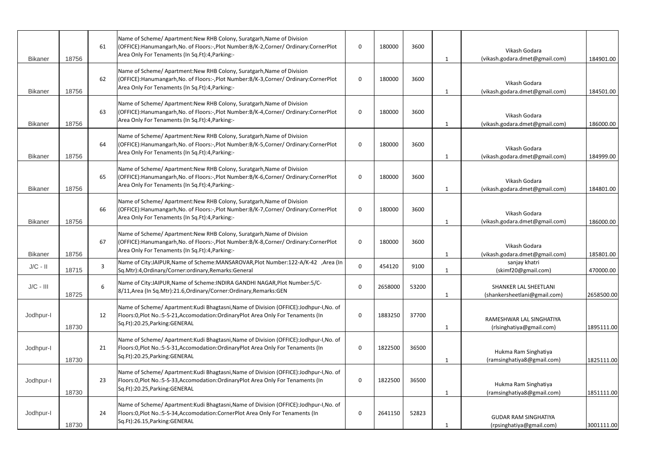| <b>Bikaner</b> | 18756 | 61 | Name of Scheme/ Apartment: New RHB Colony, Suratgarh, Name of Division<br>(OFFICE):Hanumangarh, No. of Floors:-, Plot Number: B/K-2, Corner/ Ordinary: Corner Plot<br>Area Only For Tenaments (In Sq.Ft):4, Parking:-  | $\Omega$     | 180000  | 3600  | $\mathbf{1}$ | Vikash Godara<br>(vikash.godara.dmet@gmail.com)         | 184901.00  |
|----------------|-------|----|------------------------------------------------------------------------------------------------------------------------------------------------------------------------------------------------------------------------|--------------|---------|-------|--------------|---------------------------------------------------------|------------|
| <b>Bikaner</b> | 18756 | 62 | Name of Scheme/ Apartment: New RHB Colony, Suratgarh, Name of Division<br>(OFFICE):Hanumangarh, No. of Floors:-, Plot Number: B/K-3, Corner/ Ordinary: Corner Plot<br>Area Only For Tenaments (In Sq.Ft):4, Parking:-  | $\mathbf{0}$ | 180000  | 3600  |              | Vikash Godara<br>(vikash.godara.dmet@gmail.com)         | 184501.00  |
| <b>Bikaner</b> | 18756 | 63 | Name of Scheme/ Apartment: New RHB Colony, Suratgarh, Name of Division<br>(OFFICE): Hanumangarh, No. of Floors:-, Plot Number: B/K-4, Corner/ Ordinary: Corner Plot<br>Area Only For Tenaments (In Sq.Ft):4, Parking:- | $\mathbf 0$  | 180000  | 3600  | 1            | Vikash Godara<br>(vikash.godara.dmet@gmail.com)         | 186000.00  |
| <b>Bikaner</b> | 18756 | 64 | Name of Scheme/ Apartment: New RHB Colony, Suratgarh, Name of Division<br>(OFFICE): Hanumangarh, No. of Floors:-, Plot Number: B/K-5, Corner/ Ordinary: Corner Plot<br>Area Only For Tenaments (In Sq.Ft):4, Parking:- | $\Omega$     | 180000  | 3600  |              | Vikash Godara<br>(vikash.godara.dmet@gmail.com)         | 184999.00  |
| <b>Bikaner</b> | 18756 | 65 | Name of Scheme/ Apartment: New RHB Colony, Suratgarh, Name of Division<br>(OFFICE): Hanumangarh, No. of Floors:-, Plot Number: B/K-6, Corner/ Ordinary: CornerPlot<br>Area Only For Tenaments (In Sq.Ft):4, Parking:-  | $\mathbf{0}$ | 180000  | 3600  |              | Vikash Godara<br>(vikash.godara.dmet@gmail.com)         | 184801.00  |
| <b>Bikaner</b> | 18756 | 66 | Name of Scheme/ Apartment: New RHB Colony, Suratgarh, Name of Division<br>(OFFICE): Hanumangarh, No. of Floors:-, Plot Number: B/K-7, Corner/ Ordinary: CornerPlot<br>Area Only For Tenaments (In Sq.Ft):4, Parking:-  | $\Omega$     | 180000  | 3600  |              | Vikash Godara<br>(vikash.godara.dmet@gmail.com)         | 186000.00  |
| <b>Bikaner</b> | 18756 | 67 | Name of Scheme/ Apartment: New RHB Colony, Suratgarh, Name of Division<br>(OFFICE):Hanumangarh,No. of Floors:-,Plot Number:B/K-8,Corner/ Ordinary:CornerPlot<br>Area Only For Tenaments (In Sq.Ft):4, Parking:-        | $\Omega$     | 180000  | 3600  |              | Vikash Godara<br>(vikash.godara.dmet@gmail.com)         | 185801.00  |
| $J/C - II$     | 18715 |    | Name of City:JAIPUR, Name of Scheme: MANSAROVAR, Plot Number: 122-A/K-42, Area (In<br>Sq.Mtr):4,Ordinary/Corner:ordinary,Remarks:General                                                                               | $\mathbf 0$  | 454120  | 9100  |              | sanjay khatri<br>(skimf20@gmail.com)                    | 470000.00  |
| $J/C - III$    | 18725 | 6  | Name of City:JAIPUR, Name of Scheme: INDIRA GANDHI NAGAR, Plot Number: 5/C-<br>8/11, Area (In Sq. Mtr): 21.6, Ordinary/Corner: Ordinary, Remarks: GEN                                                                  | 0            | 2658000 | 53200 |              | SHANKER LAL SHEETLANI<br>(shankersheetlani@gmail.com)   | 2658500.00 |
| Jodhpur-I      | 18730 | 12 | Name of Scheme/ Apartment: Kudi Bhagtasni, Name of Division (OFFICE): Jodhpur-I, No. of<br>Floors:0, Plot No.: 5-S-21, Accomodation: Ordinary Plot Area Only For Tenaments (In<br>Sq.Ft):20.25, Parking: GENERAL       | 0            | 1883250 | 37700 | 1            | RAMESHWAR LAL SINGHATIYA<br>(rlsinghatiya@gmail.com)    | 1895111.00 |
| Jodhpur-I      | 18730 | 21 | Name of Scheme/ Apartment: Kudi Bhagtasni, Name of Division (OFFICE): Jodhpur-I, No. of<br>Floors:0, Plot No.: 5-S-31, Accomodation: Ordinary Plot Area Only For Tenaments (In<br>Sq.Ft):20.25, Parking: GENERAL       | 0            | 1822500 | 36500 |              | Hukma Ram Singhatiya<br>(ramsinghatiya8@gmail.com)      | 1825111.00 |
| Jodhpur-I      | 18730 | 23 | Name of Scheme/ Apartment: Kudi Bhagtasni, Name of Division (OFFICE): Jodhpur-I, No. of<br>Floors: 0, Plot No.: 5-S-33, Accomodation: Ordinary Plot Area Only For Tenaments (In<br>Sq.Ft):20.25, Parking: GENERAL      | 0            | 1822500 | 36500 |              | Hukma Ram Singhatiya<br>(ramsinghatiya8@gmail.com)      | 1851111.00 |
| Jodhpur-I      | 18730 | 24 | Name of Scheme/ Apartment: Kudi Bhagtasni, Name of Division (OFFICE): Jodhpur-I, No. of<br>Floors:0, Plot No.: 5-S-34, Accomodation: CornerPlot Area Only For Tenaments (In<br>Sq.Ft):26.15, Parking: GENERAL          | 0            | 2641150 | 52823 |              | <b>GUDAR RAM SINGHATIYA</b><br>(rpsinghatiya@gmail.com) | 3001111.00 |